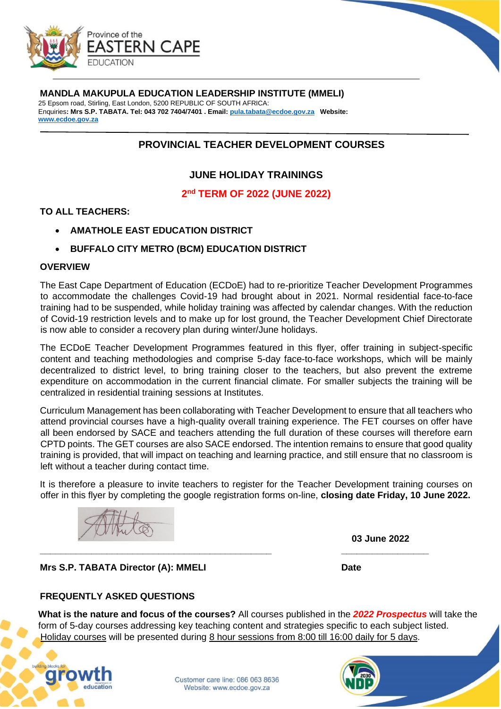

### **MANDLA MAKUPULA EDUCATION LEADERSHIP INSTITUTE (MMELI)**

25 Epsom road, Stirling, East London, 5200 REPUBLIC OF SOUTH AFRICA: Enquiries**: Mrs S.P. TABATA. Tel: 043 702 7404/7401 . Email: pula.tabata@ecdoe.gov.za Websit[e:](http://www.ecdoe.gov.za/)  [www.ecdoe.gov.za](http://www.ecdoe.gov.za/)**

# **PROVINCIAL TEACHER DEVELOPMENT COURSES**

# **JUNE HOLIDAY TRAININGS**

**2 nd TERM OF 2022 (JUNE 2022)**

#### **TO ALL TEACHERS:**

- **AMATHOLE EAST EDUCATION DISTRICT**
- **BUFFALO CITY METRO (BCM) EDUCATION DISTRICT**

#### **OVERVIEW**

The East Cape Department of Education (ECDoE) had to re-prioritize Teacher Development Programmes to accommodate the challenges Covid-19 had brought about in 2021. Normal residential face-to-face training had to be suspended, while holiday training was affected by calendar changes. With the reduction of Covid-19 restriction levels and to make up for lost ground, the Teacher Development Chief Directorate is now able to consider a recovery plan during winter/June holidays.

The ECDoE Teacher Development Programmes featured in this flyer, offer training in subject-specific content and teaching methodologies and comprise 5-day face-to-face workshops, which will be mainly decentralized to district level, to bring training closer to the teachers, but also prevent the extreme expenditure on accommodation in the current financial climate. For smaller subjects the training will be centralized in residential training sessions at Institutes.

Curriculum Management has been collaborating with Teacher Development to ensure that all teachers who attend provincial courses have a high-quality overall training experience. The FET courses on offer have all been endorsed by SACE and teachers attending the full duration of these courses will therefore earn CPTD points. The GET courses are also SACE endorsed. The intention remains to ensure that good quality training is provided, that will impact on teaching and learning practice, and still ensure that no classroom is left without a teacher during contact time.

It is therefore a pleasure to invite teachers to register for the Teacher Development training courses on offer in this flyer by completing the google registration forms on-line, **closing date Friday, 10 June 2022.**

**\_\_\_\_\_\_\_\_\_\_\_\_\_\_\_\_\_\_\_\_\_\_\_\_\_\_\_\_\_\_\_\_\_\_\_\_\_\_\_\_\_\_\_\_\_ \_\_\_\_\_\_\_\_\_\_\_\_\_\_\_\_\_** 

 **03 June 2022**

**Mrs S.P. TABATA Director (A): MMELI Date** Date

# **FREQUENTLY ASKED QUESTIONS**

**What is the nature and focus of the courses?** All courses published in the *2022 Prospectus* will take the form of 5-day courses addressing key teaching content and strategies specific to each subject listed. Holiday courses will be presented during 8 hour sessions from 8:00 till 16:00 daily for 5 days.

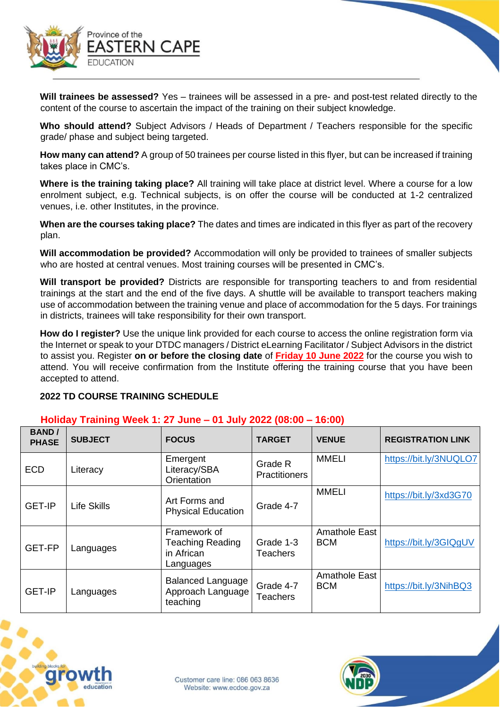

**Will trainees be assessed?** Yes – trainees will be assessed in a pre- and post-test related directly to the content of the course to ascertain the impact of the training on their subject knowledge.

**Who should attend?** Subject Advisors / Heads of Department / Teachers responsible for the specific grade/ phase and subject being targeted.

**How many can attend?** A group of 50 trainees per course listed in this flyer, but can be increased if training takes place in CMC's.

**Where is the training taking place?** All training will take place at district level. Where a course for a low enrolment subject, e.g. Technical subjects, is on offer the course will be conducted at 1-2 centralized venues, i.e. other Institutes, in the province.

**When are the courses taking place?** The dates and times are indicated in this flyer as part of the recovery plan.

**Will accommodation be provided?** Accommodation will only be provided to trainees of smaller subjects who are hosted at central venues. Most training courses will be presented in CMC's.

**Will transport be provided?** Districts are responsible for transporting teachers to and from residential trainings at the start and the end of the five days. A shuttle will be available to transport teachers making use of accommodation between the training venue and place of accommodation for the 5 days. For trainings in districts, trainees will take responsibility for their own transport.

**How do I register?** Use the unique link provided for each course to access the online registration form via the Internet or speak to your DTDC managers / District eLearning Facilitator / Subject Advisors in the district to assist you. Register **on or before the closing date** of **Friday 10 June 2022** for the course you wish to attend. You will receive confirmation from the Institute offering the training course that you have been accepted to attend.

# **2022 TD COURSE TRAINING SCHEDULE**

# **Holiday Training Week 1: 27 June – 01 July 2022 (08:00 – 16:00)**

| <b>BAND</b> /<br><b>PHASE</b> | <b>SUBJECT</b> | <b>FOCUS</b>                                                       | <b>TARGET</b>                   | <b>VENUE</b>                | <b>REGISTRATION LINK</b> |
|-------------------------------|----------------|--------------------------------------------------------------------|---------------------------------|-----------------------------|--------------------------|
| <b>ECD</b>                    | Literacy       | Emergent<br>Literacy/SBA<br>Orientation                            | Grade R<br><b>Practitioners</b> | <b>MMELI</b>                | https://bit.ly/3NUQLO7   |
| <b>GET-IP</b>                 | Life Skills    | Art Forms and<br><b>Physical Education</b>                         | Grade 4-7                       | <b>MMELI</b>                | https://bit.ly/3xd3G70   |
| GET-FP                        | Languages      | Framework of<br><b>Teaching Reading</b><br>in African<br>Languages | Grade 1-3<br><b>Teachers</b>    | Amathole East<br><b>BCM</b> | https://bit.ly/3GIQgUV   |
| <b>GET-IP</b>                 | Languages      | <b>Balanced Language</b><br>Approach Language<br>teaching          | Grade 4-7<br>Teachers           | Amathole East<br><b>BCM</b> | https://bit.ly/3NihBQ3   |



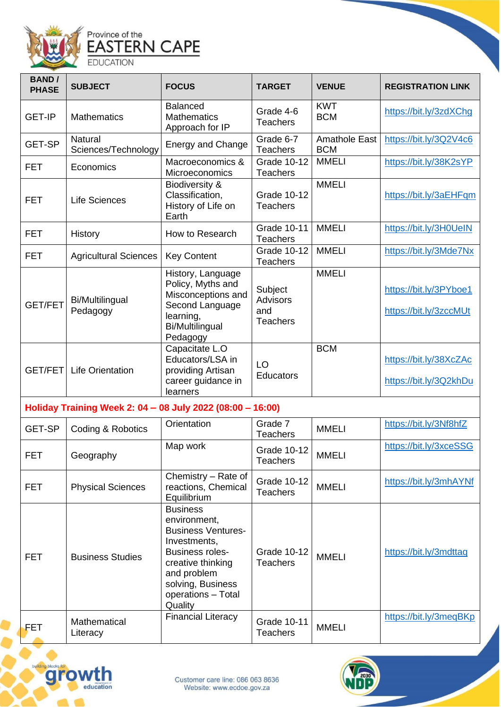

| <b>BAND</b> /<br><b>PHASE</b> | <b>SUBJECT</b>                        | <b>FOCUS</b>                                                                                                                       | <b>TARGET</b>                                        | <b>VENUE</b>                       | <b>REGISTRATION LINK</b>                         |
|-------------------------------|---------------------------------------|------------------------------------------------------------------------------------------------------------------------------------|------------------------------------------------------|------------------------------------|--------------------------------------------------|
| <b>GET-IP</b>                 | <b>Mathematics</b>                    | <b>Balanced</b><br><b>Mathematics</b><br>Approach for IP                                                                           | Grade 4-6<br><b>Teachers</b>                         | <b>KWT</b><br><b>BCM</b>           | https://bit.ly/3zdXChg                           |
| <b>GET-SP</b>                 | <b>Natural</b><br>Sciences/Technology | <b>Energy and Change</b>                                                                                                           | Grade 6-7<br><b>Teachers</b>                         | <b>Amathole East</b><br><b>BCM</b> | https://bit.ly/3Q2V4c6                           |
| <b>FET</b>                    | Economics                             | Macroeconomics &<br>Microeconomics                                                                                                 | <b>Grade 10-12</b><br><b>Teachers</b>                | <b>MMELI</b>                       | https://bit.ly/38K2sYP                           |
| <b>FET</b>                    | <b>Life Sciences</b>                  | Biodiversity &<br>Classification,<br>History of Life on<br>Earth                                                                   | <b>Grade 10-12</b><br><b>Teachers</b>                | <b>MMELI</b>                       | https://bit.ly/3aEHFqm                           |
| <b>FET</b>                    | <b>History</b>                        | How to Research                                                                                                                    | Grade 10-11<br><b>Teachers</b>                       | <b>MMELI</b>                       | https://bit.ly/3H0UeIN                           |
| <b>FET</b>                    | <b>Agricultural Sciences</b>          | <b>Key Content</b>                                                                                                                 | <b>Grade 10-12</b><br><b>Teachers</b>                | <b>MMELI</b>                       | https://bit.ly/3Mde7Nx                           |
| <b>GET/FET</b>                | Bi/Multilingual<br>Pedagogy           | History, Language<br>Policy, Myths and<br>Misconceptions and<br>Second Language<br>learning,<br><b>Bi/Multilingual</b><br>Pedagogy | Subject<br><b>Advisors</b><br>and<br><b>Teachers</b> | <b>MMELI</b>                       | https://bit.ly/3PYboe1<br>https://bit.ly/3zccMUt |
| GET/FET                       | <b>Life Orientation</b>               | Capacitate L.O<br>Educators/LSA in<br>providing Artisan<br>career guidance in<br>learners                                          | LO<br><b>Educators</b>                               | <b>BCM</b>                         | https://bit.ly/38XcZAc<br>https://bit.ly/3Q2khDu |

# **Holiday Training Week 2: 04 – 08 July 2022 (08:00 – 16:00)**

| GET-SP     | Coding & Robotics        | Orientation                                                                                                                                                                                      | Grade 7<br>Teachers            | <b>MMELI</b> | https://bit.ly/3Nf8hfZ |
|------------|--------------------------|--------------------------------------------------------------------------------------------------------------------------------------------------------------------------------------------------|--------------------------------|--------------|------------------------|
| <b>FET</b> | Geography                | Map work                                                                                                                                                                                         | Grade 10-12<br>Teachers        | <b>MMELI</b> | https://bit.ly/3xceSSG |
| FET        | <b>Physical Sciences</b> | Chemistry - Rate of<br>reactions, Chemical<br>Equilibrium                                                                                                                                        | Grade 10-12<br><b>Teachers</b> | <b>MMELI</b> | https://bit.ly/3mhAYNf |
| <b>FET</b> | <b>Business Studies</b>  | <b>Business</b><br>environment,<br><b>Business Ventures-</b><br>Investments,<br><b>Business roles-</b><br>creative thinking<br>and problem<br>solving, Business<br>operations - Total<br>Quality | Grade 10-12<br>Teachers        | <b>MMELI</b> | https://bit.ly/3mdttaq |
| FET        | Mathematical<br>Literacy | <b>Financial Literacy</b>                                                                                                                                                                        | Grade 10-11<br>Teachers        | <b>MMELI</b> | https://bit.ly/3meqBKp |